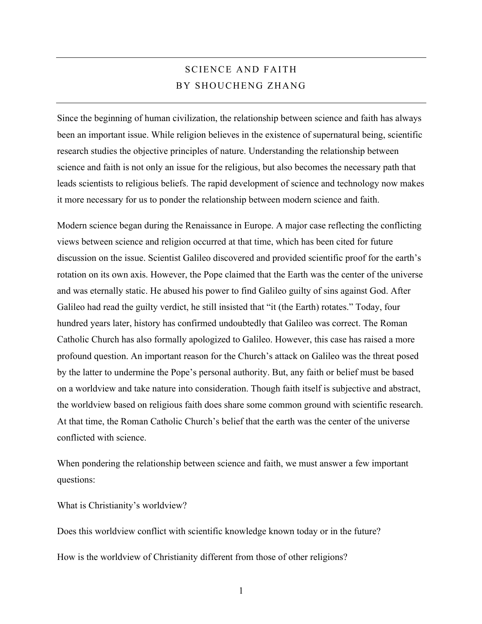# SCIENCE AND FAITH BY SHOUCHENG ZHANG

Since the beginning of human civilization, the relationship between science and faith has always been an important issue. While religion believes in the existence of supernatural being, scientific research studies the objective principles of nature. Understanding the relationship between science and faith is not only an issue for the religious, but also becomes the necessary path that leads scientists to religious beliefs. The rapid development of science and technology now makes it more necessary for us to ponder the relationship between modern science and faith.

Modern science began during the Renaissance in Europe. A major case reflecting the conflicting views between science and religion occurred at that time, which has been cited for future discussion on the issue. Scientist Galileo discovered and provided scientific proof for the earth's rotation on its own axis. However, the Pope claimed that the Earth was the center of the universe and was eternally static. He abused his power to find Galileo guilty of sins against God. After Galileo had read the guilty verdict, he still insisted that "it (the Earth) rotates." Today, four hundred years later, history has confirmed undoubtedly that Galileo was correct. The Roman Catholic Church has also formally apologized to Galileo. However, this case has raised a more profound question. An important reason for the Church's attack on Galileo was the threat posed by the latter to undermine the Pope's personal authority. But, any faith or belief must be based on a worldview and take nature into consideration. Though faith itself is subjective and abstract, the worldview based on religious faith does share some common ground with scientific research. At that time, the Roman Catholic Church's belief that the earth was the center of the universe conflicted with science.

When pondering the relationship between science and faith, we must answer a few important questions:

What is Christianity's worldview?

Does this worldview conflict with scientific knowledge known today or in the future? How is the worldview of Christianity different from those of other religions?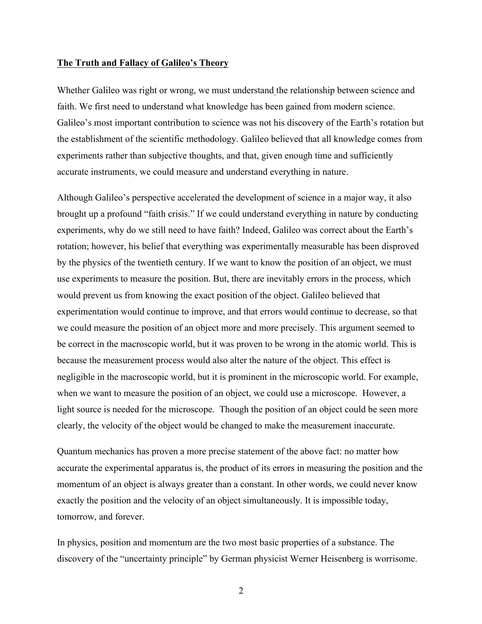#### **The Truth and Fallacy of Galileo's Theory**

Whether Galileo was right or wrong, we must understand the relationship between science and faith. We first need to understand what knowledge has been gained from modern science. Galileo's most important contribution to science was not his discovery of the Earth's rotation but the establishment of the scientific methodology. Galileo believed that all knowledge comes from experiments rather than subjective thoughts, and that, given enough time and sufficiently accurate instruments, we could measure and understand everything in nature.

Although Galileo's perspective accelerated the development of science in a major way, it also brought up a profound "faith crisis." If we could understand everything in nature by conducting experiments, why do we still need to have faith? Indeed, Galileo was correct about the Earth's rotation; however, his belief that everything was experimentally measurable has been disproved by the physics of the twentieth century. If we want to know the position of an object, we must use experiments to measure the position. But, there are inevitably errors in the process, which would prevent us from knowing the exact position of the object. Galileo believed that experimentation would continue to improve, and that errors would continue to decrease, so that we could measure the position of an object more and more precisely. This argument seemed to be correct in the macroscopic world, but it was proven to be wrong in the atomic world. This is because the measurement process would also alter the nature of the object. This effect is negligible in the macroscopic world, but it is prominent in the microscopic world. For example, when we want to measure the position of an object, we could use a microscope. However, a light source is needed for the microscope. Though the position of an object could be seen more clearly, the velocity of the object would be changed to make the measurement inaccurate.

Quantum mechanics has proven a more precise statement of the above fact: no matter how accurate the experimental apparatus is, the product of its errors in measuring the position and the momentum of an object is always greater than a constant. In other words, we could never know exactly the position and the velocity of an object simultaneously. It is impossible today, tomorrow, and forever.

In physics, position and momentum are the two most basic properties of a substance. The discovery of the "uncertainty principle" by German physicist Werner Heisenberg is worrisome.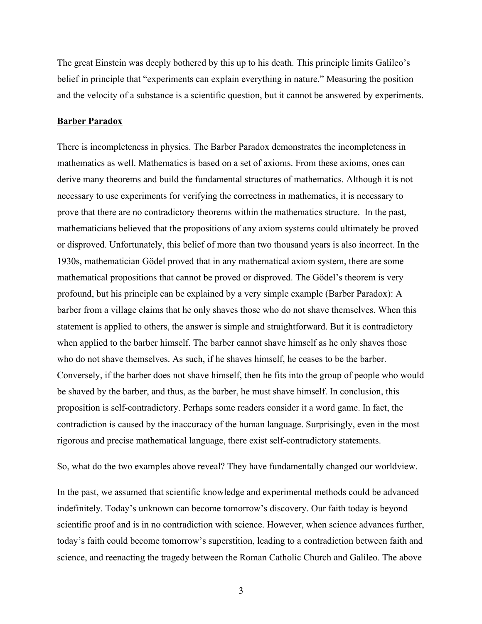The great Einstein was deeply bothered by this up to his death. This principle limits Galileo's belief in principle that "experiments can explain everything in nature." Measuring the position and the velocity of a substance is a scientific question, but it cannot be answered by experiments.

### **Barber Paradox**

There is incompleteness in physics. The Barber Paradox demonstrates the incompleteness in mathematics as well. Mathematics is based on a set of axioms. From these axioms, ones can derive many theorems and build the fundamental structures of mathematics. Although it is not necessary to use experiments for verifying the correctness in mathematics, it is necessary to prove that there are no contradictory theorems within the mathematics structure. In the past, mathematicians believed that the propositions of any axiom systems could ultimately be proved or disproved. Unfortunately, this belief of more than two thousand years is also incorrect. In the 1930s, mathematician Gödel proved that in any mathematical axiom system, there are some mathematical propositions that cannot be proved or disproved. The Gödel's theorem is very profound, but his principle can be explained by a very simple example (Barber Paradox): A barber from a village claims that he only shaves those who do not shave themselves. When this statement is applied to others, the answer is simple and straightforward. But it is contradictory when applied to the barber himself. The barber cannot shave himself as he only shaves those who do not shave themselves. As such, if he shaves himself, he ceases to be the barber. Conversely, if the barber does not shave himself, then he fits into the group of people who would be shaved by the barber, and thus, as the barber, he must shave himself. In conclusion, this proposition is self-contradictory. Perhaps some readers consider it a word game. In fact, the contradiction is caused by the inaccuracy of the human language. Surprisingly, even in the most rigorous and precise mathematical language, there exist self-contradictory statements.

So, what do the two examples above reveal? They have fundamentally changed our worldview.

In the past, we assumed that scientific knowledge and experimental methods could be advanced indefinitely. Today's unknown can become tomorrow's discovery. Our faith today is beyond scientific proof and is in no contradiction with science. However, when science advances further, today's faith could become tomorrow's superstition, leading to a contradiction between faith and science, and reenacting the tragedy between the Roman Catholic Church and Galileo. The above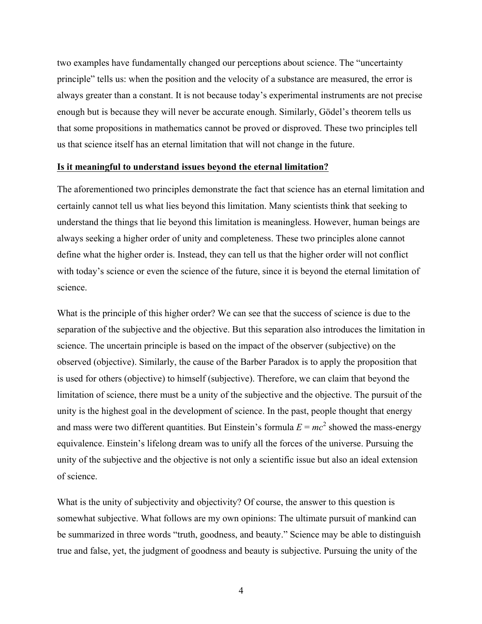two examples have fundamentally changed our perceptions about science. The "uncertainty principle" tells us: when the position and the velocity of a substance are measured, the error is always greater than a constant. It is not because today's experimental instruments are not precise enough but is because they will never be accurate enough. Similarly, Gödel's theorem tells us that some propositions in mathematics cannot be proved or disproved. These two principles tell us that science itself has an eternal limitation that will not change in the future.

## **Is it meaningful to understand issues beyond the eternal limitation?**

The aforementioned two principles demonstrate the fact that science has an eternal limitation and certainly cannot tell us what lies beyond this limitation. Many scientists think that seeking to understand the things that lie beyond this limitation is meaningless. However, human beings are always seeking a higher order of unity and completeness. These two principles alone cannot define what the higher order is. Instead, they can tell us that the higher order will not conflict with today's science or even the science of the future, since it is beyond the eternal limitation of science.

What is the principle of this higher order? We can see that the success of science is due to the separation of the subjective and the objective. But this separation also introduces the limitation in science. The uncertain principle is based on the impact of the observer (subjective) on the observed (objective). Similarly, the cause of the Barber Paradox is to apply the proposition that is used for others (objective) to himself (subjective). Therefore, we can claim that beyond the limitation of science, there must be a unity of the subjective and the objective. The pursuit of the unity is the highest goal in the development of science. In the past, people thought that energy and mass were two different quantities. But Einstein's formula  $E = mc^2$  showed the mass-energy equivalence. Einstein's lifelong dream was to unify all the forces of the universe. Pursuing the unity of the subjective and the objective is not only a scientific issue but also an ideal extension of science.

What is the unity of subjectivity and objectivity? Of course, the answer to this question is somewhat subjective. What follows are my own opinions: The ultimate pursuit of mankind can be summarized in three words "truth, goodness, and beauty." Science may be able to distinguish true and false, yet, the judgment of goodness and beauty is subjective. Pursuing the unity of the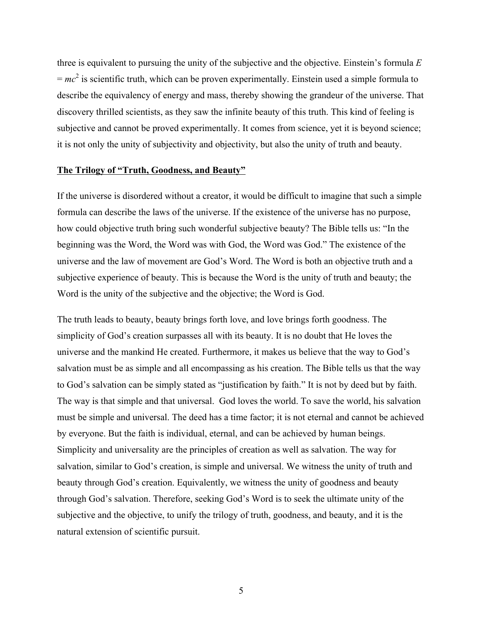three is equivalent to pursuing the unity of the subjective and the objective. Einstein's formula *E*  $= mc<sup>2</sup>$  is scientific truth, which can be proven experimentally. Einstein used a simple formula to describe the equivalency of energy and mass, thereby showing the grandeur of the universe. That discovery thrilled scientists, as they saw the infinite beauty of this truth. This kind of feeling is subjective and cannot be proved experimentally. It comes from science, yet it is beyond science; it is not only the unity of subjectivity and objectivity, but also the unity of truth and beauty.

## **The Trilogy of "Truth, Goodness, and Beauty"**

If the universe is disordered without a creator, it would be difficult to imagine that such a simple formula can describe the laws of the universe. If the existence of the universe has no purpose, how could objective truth bring such wonderful subjective beauty? The Bible tells us: "In the beginning was the Word, the Word was with God, the Word was God." The existence of the universe and the law of movement are God's Word. The Word is both an objective truth and a subjective experience of beauty. This is because the Word is the unity of truth and beauty; the Word is the unity of the subjective and the objective; the Word is God.

The truth leads to beauty, beauty brings forth love, and love brings forth goodness. The simplicity of God's creation surpasses all with its beauty. It is no doubt that He loves the universe and the mankind He created. Furthermore, it makes us believe that the way to God's salvation must be as simple and all encompassing as his creation. The Bible tells us that the way to God's salvation can be simply stated as "justification by faith." It is not by deed but by faith. The way is that simple and that universal. God loves the world. To save the world, his salvation must be simple and universal. The deed has a time factor; it is not eternal and cannot be achieved by everyone. But the faith is individual, eternal, and can be achieved by human beings. Simplicity and universality are the principles of creation as well as salvation. The way for salvation, similar to God's creation, is simple and universal. We witness the unity of truth and beauty through God's creation. Equivalently, we witness the unity of goodness and beauty through God's salvation. Therefore, seeking God's Word is to seek the ultimate unity of the subjective and the objective, to unify the trilogy of truth, goodness, and beauty, and it is the natural extension of scientific pursuit.